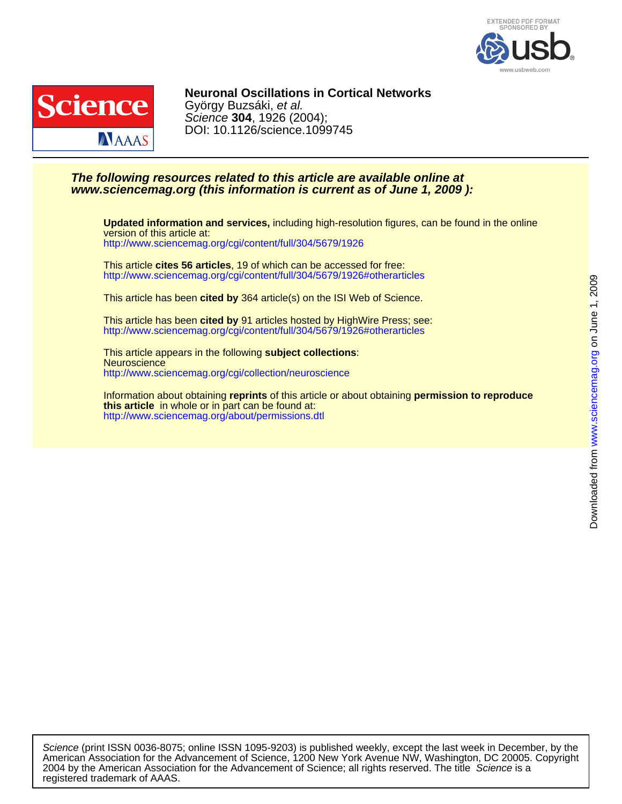



DOI: 10.1126/science.1099745 Science **304**, 1926 (2004); György Buzsáki, et al. **Neuronal Oscillations in Cortical Networks**

# **www.sciencemag.org (this information is current as of June 1, 2009 ): The following resources related to this article are available online at**

<http://www.sciencemag.org/cgi/content/full/304/5679/1926> version of this article at: **Updated information and services,** including high-resolution figures, can be found in the online

<http://www.sciencemag.org/cgi/content/full/304/5679/1926#otherarticles> This article **cites 56 articles**, 19 of which can be accessed for free:

This article has been **cited by** 364 article(s) on the ISI Web of Science.

<http://www.sciencemag.org/cgi/content/full/304/5679/1926#otherarticles> This article has been **cited by** 91 articles hosted by HighWire Press; see:

<http://www.sciencemag.org/cgi/collection/neuroscience> **Neuroscience** This article appears in the following **subject collections**:

<http://www.sciencemag.org/about/permissions.dtl> **this article** in whole or in part can be found at: Information about obtaining **reprints** of this article or about obtaining **permission to reproduce**

registered trademark of AAAS. 2004 by the American Association for the Advancement of Science; all rights reserved. The title Science is a American Association for the Advancement of Science, 1200 New York Avenue NW, Washington, DC 20005. Copyright Science (print ISSN 0036-8075; online ISSN 1095-9203) is published weekly, except the last week in December, by the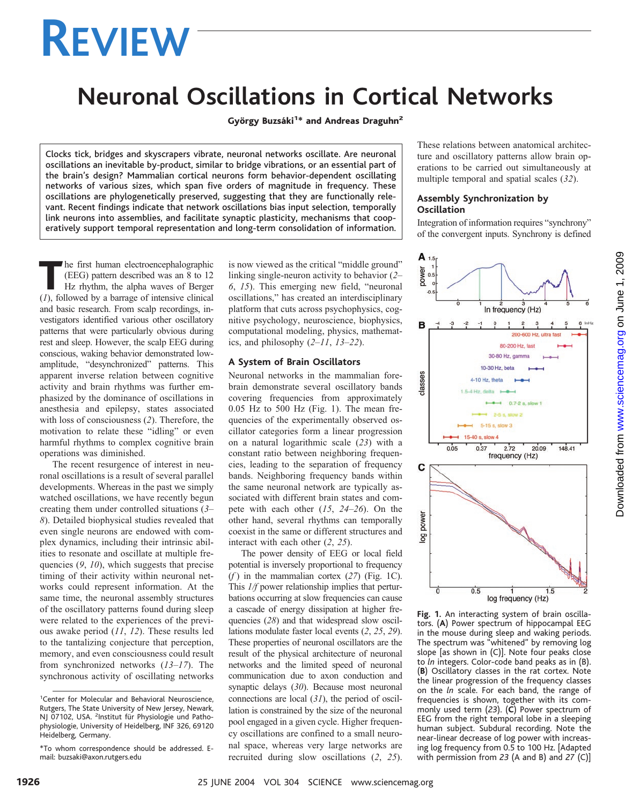# **REVIEW**

# **Neuronal Oscillations in Cortical Networks**

György Buzsáki<sup>1\*</sup> and Andreas Draguhn<sup>2</sup>

Clocks tick, bridges and skyscrapers vibrate, neuronal networks oscillate. Are neuronal oscillations an inevitable by-product, similar to bridge vibrations, or an essential part of the brain's design? Mammalian cortical neurons form behavior-dependent oscillating networks of various sizes, which span five orders of magnitude in frequency. These oscillations are phylogenetically preserved, suggesting that they are functionally relevant. Recent findings indicate that network oscillations bias input selection, temporally link neurons into assemblies, and facilitate synaptic plasticity, mechanisms that cooperatively support temporal representation and long-term consolidation of information.

The first human electroencephalographic (EEG) pattern described was an 8 to 12 Hz rhythm, the alpha waves of Berger (*1*), followed by a barrage of intensive clinical and basic research. From scalp recordings, investigators identified various other oscillatory patterns that were particularly obvious during rest and sleep. However, the scalp EEG during conscious, waking behavior demonstrated lowamplitude, "desynchronized" patterns. This apparent inverse relation between cognitive activity and brain rhythms was further emphasized by the dominance of oscillations in anesthesia and epilepsy, states associated with loss of consciousness (*2*). Therefore, the motivation to relate these "idling" or even harmful rhythms to complex cognitive brain operations was diminished.

The recent resurgence of interest in neuronal oscillations is a result of several parallel developments. Whereas in the past we simply watched oscillations, we have recently begun creating them under controlled situations (*3*– *8*). Detailed biophysical studies revealed that even single neurons are endowed with complex dynamics, including their intrinsic abilities to resonate and oscillate at multiple frequencies (*9*, *10*), which suggests that precise timing of their activity within neuronal networks could represent information. At the same time, the neuronal assembly structures of the oscillatory patterns found during sleep were related to the experiences of the previous awake period (*11*, *12*). These results led to the tantalizing conjecture that perception, memory, and even consciousness could result from synchronized networks (*13*–*17*). The synchronous activity of oscillating networks

is now viewed as the critical "middle ground" linking single-neuron activity to behavior (*2*– *6*, *15*). This emerging new field, "neuronal oscillations," has created an interdisciplinary platform that cuts across psychophysics, cognitive psychology, neuroscience, biophysics, computational modeling, physics, mathematics, and philosophy (*2*–*11*, *13*–*22*).

#### **A System of Brain Oscillators**

Neuronal networks in the mammalian forebrain demonstrate several oscillatory bands covering frequencies from approximately 0.05 Hz to 500 Hz (Fig. 1). The mean frequencies of the experimentally observed oscillator categories form a linear progression on a natural logarithmic scale (*23*) with a constant ratio between neighboring frequencies, leading to the separation of frequency bands. Neighboring frequency bands within the same neuronal network are typically associated with different brain states and compete with each other (*15*, *24*–*26*). On the other hand, several rhythms can temporally coexist in the same or different structures and interact with each other (*2*, *25*).

The power density of EEG or local field potential is inversely proportional to frequency (*f* ) in the mammalian cortex (*27*) (Fig. 1C). This *1/f* power relationship implies that perturbations occurring at slow frequencies can cause a cascade of energy dissipation at higher frequencies (*28*) and that widespread slow oscillations modulate faster local events (*2*, *25*, *29*). These properties of neuronal oscillators are the result of the physical architecture of neuronal networks and the limited speed of neuronal communication due to axon conduction and synaptic delays (*30*). Because most neuronal connections are local (*31*), the period of oscillation is constrained by the size of the neuronal pool engaged in a given cycle. Higher frequency oscillations are confined to a small neuronal space, whereas very large networks are recruited during slow oscillations (*2*, *25*).

These relations between anatomical architecture and oscillatory patterns allow brain operations to be carried out simultaneously at multiple temporal and spatial scales (*32*).

## **Assembly Synchronization by Oscillation**

Integration of information requires "synchrony" of the convergent inputs. Synchrony is defined



**Fig. 1.** An interacting system of brain oscillators. (**A**) Power spectrum of hippocampal EEG in the mouse during sleep and waking periods. The spectrum was "whitened" by removing log slope [as shown in (C)]. Note four peaks close to *ln* integers. Color-code band peaks as in (B). (**B**) Oscillatory classes in the rat cortex. Note the linear progression of the frequency classes on the *ln* scale. For each band, the range of frequencies is shown, together with its commonly used term (*23*). (**C**) Power spectrum of EEG from the right temporal lobe in a sleeping human subject. Subdural recording. Note the near-linear decrease of log power with increasing log frequency from 0.5 to 100 Hz. [Adapted with permission from *23* (A and B) and *27* (C)]

<sup>&</sup>lt;sup>1</sup>Center for Molecular and Behavioral Neuroscience, Rutgers, The State University of New Jersey, Newark, NJ 07102, USA. <sup>2</sup>Institut für Physiologie und Pathophysiologie, University of Heidelberg, INF 326, 69120 Heidelberg, Germany.

<sup>\*</sup>To whom correspondence should be addressed. Email: buzsaki@axon.rutgers.edu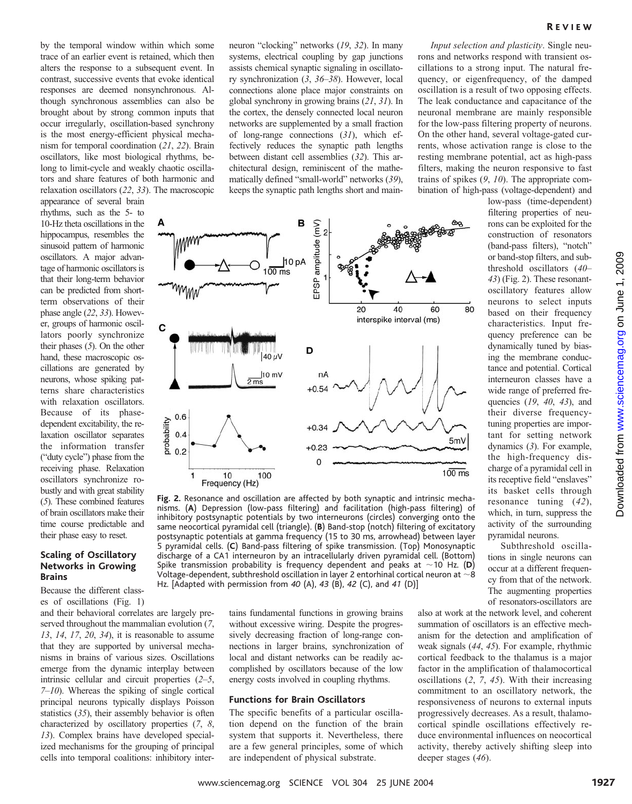by the temporal window within which some trace of an earlier event is retained, which then alters the response to a subsequent event. In contrast, successive events that evoke identical responses are deemed nonsynchronous. Although synchronous assemblies can also be brought about by strong common inputs that occur irregularly, oscillation-based synchrony is the most energy-efficient physical mechanism for temporal coordination (*21*, *22*). Brain oscillators, like most biological rhythms, belong to limit-cycle and weakly chaotic oscillators and share features of both harmonic and relaxation oscillators (*22*, *33*). The macroscopic

appearance of several brain rhythms, such as the 5- to 10-Hz theta oscillations in the hippocampus, resembles the sinusoid pattern of harmonic oscillators. A major advantage of harmonic oscillators is that their long-term behavior can be predicted from shortterm observations of their phase angle (*22*, *33*). However, groups of harmonic oscillators poorly synchronize their phases (*5*). On the other hand, these macroscopic oscillations are generated by neurons, whose spiking patterns share characteristics with relaxation oscillators. Because of its phasedependent excitability, the relaxation oscillator separates the information transfer ("duty cycle") phase from the receiving phase. Relaxation oscillators synchronize robustly and with great stability (*5*). These combined features of brain oscillators make their time course predictable and their phase easy to reset.

#### **Scaling of Oscillatory Networks in Growing Brains**

Because the different classes of oscillations (Fig. 1)

and their behavioral correlates are largely preserved throughout the mammalian evolution (*7*, *13*, *14*, *17*, *20*, *34*), it is reasonable to assume that they are supported by universal mechanisms in brains of various sizes. Oscillations emerge from the dynamic interplay between intrinsic cellular and circuit properties (*2*–*5*, *7*–*10*). Whereas the spiking of single cortical principal neurons typically displays Poisson statistics (*35*), their assembly behavior is often characterized by oscillatory properties (*7*, *8*, *13*). Complex brains have developed specialized mechanisms for the grouping of principal cells into temporal coalitions: inhibitory inter-

neuron "clocking" networks (*19*, *32*). In many systems, electrical coupling by gap junctions assists chemical synaptic signaling in oscillatory synchronization (*3*, *36*–*38*). However, local connections alone place major constraints on global synchrony in growing brains (*21*, *31*). In the cortex, the densely connected local neuron networks are supplemented by a small fraction of long-range connections (*31*), which effectively reduces the synaptic path lengths between distant cell assemblies (*32*). This architectural design, reminiscent of the mathematically defined "small-world" networks (*39*), keeps the synaptic path lengths short and main-

*Input selection and plasticity*. Single neurons and networks respond with transient oscillations to a strong input. The natural frequency, or eigenfrequency, of the damped oscillation is a result of two opposing effects. The leak conductance and capacitance of the neuronal membrane are mainly responsible for the low-pass filtering property of neurons. On the other hand, several voltage-gated currents, whose activation range is close to the resting membrane potential, act as high-pass filters, making the neuron responsive to fast trains of spikes (*9*, *10*). The appropriate combination of high-pass (voltage-dependent) and

low-pass (time-dependent) filtering properties of neurons can be exploited for the construction of resonators (band-pass filters), "notch" or band-stop filters, and subthreshold oscillators (*40*– *43*) (Fig. 2). These resonantoscillatory features allow neurons to select inputs based on their frequency characteristics. Input frequency preference can be dynamically tuned by biasing the membrane conductance and potential. Cortical interneuron classes have a wide range of preferred frequencies (*19*, *40*, *43*), and their diverse frequencytuning properties are important for setting network dynamics (*3*). For example, the high-frequency discharge of a pyramidal cell in its receptive field "enslaves" its basket cells through resonance tuning (*42*), which, in turn, suppress the activity of the surrounding pyramidal neurons.

Subthreshold oscillations in single neurons can occur at a different frequency from that of the network. The augmenting properties of resonators-oscillators are



**Fig. 2.** Resonance and oscillation are affected by both synaptic and intrinsic mechanisms. (**A**) Depression (low-pass filtering) and facilitation (high-pass filtering) of inhibitory postsynaptic potentials by two interneurons (circles) converging onto the same neocortical pyramidal cell (triangle). (**B**) Band-stop (notch) filtering of excitatory postsynaptic potentials at gamma frequency (15 to 30 ms, arrowhead) between layer 5 pyramidal cells. (**C**) Band-pass filtering of spike transmission. (Top) Monosynaptic discharge of a CA1 interneuron by an intracellularly driven pyramidal cell. (Bottom) Spike transmission probability is frequency dependent and peaks at  $\sim$  10 Hz. (D) Voltage-dependent, subthreshold oscillation in layer 2 entorhinal cortical neuron at  $\sim$ 8 Hz. [Adapted with permission from *40* (A), *43* (B), *42* (C), and *41* (D)]

tains fundamental functions in growing brains without excessive wiring. Despite the progressively decreasing fraction of long-range connections in larger brains, synchronization of local and distant networks can be readily accomplished by oscillators because of the low energy costs involved in coupling rhythms.

#### **Functions for Brain Oscillators**

The specific benefits of a particular oscillation depend on the function of the brain system that supports it. Nevertheless, there are a few general principles, some of which are independent of physical substrate.

also at work at the network level, and coherent summation of oscillators is an effective mechanism for the detection and amplification of weak signals (*44*, *45*). For example, rhythmic cortical feedback to the thalamus is a major factor in the amplification of thalamocortical oscillations (*2*, *7*, *45*). With their increasing commitment to an oscillatory network, the responsiveness of neurons to external inputs progressively decreases. As a result, thalamocortical spindle oscillations effectively reduce environmental influences on neocortical activity, thereby actively shifting sleep into deeper stages (*46*).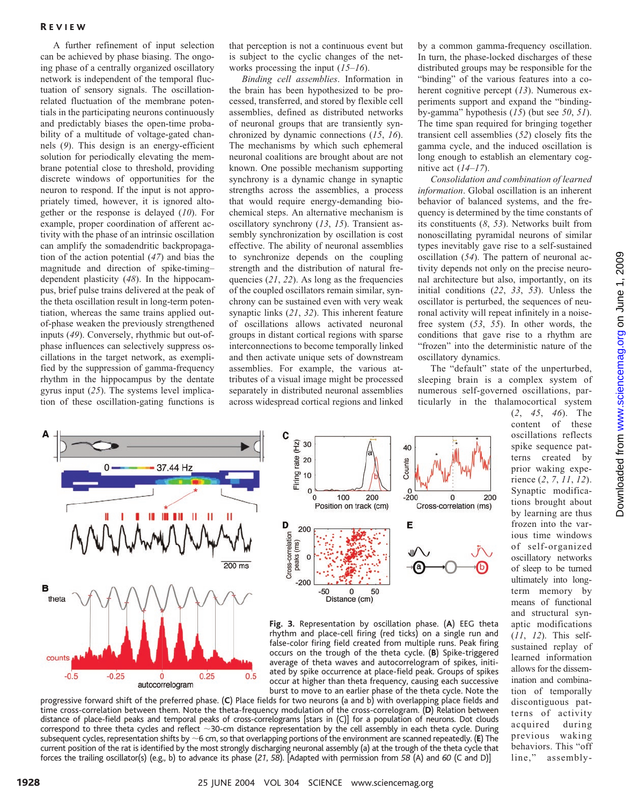## R EVIEW

A further refinement of input selection can be achieved by phase biasing. The ongoing phase of a centrally organized oscillatory network is independent of the temporal fluctuation of sensory signals. The oscillationrelated fluctuation of the membrane potentials in the participating neurons continuously and predictably biases the open-time probability of a multitude of voltage-gated channels (*9*). This design is an energy-efficient solution for periodically elevating the membrane potential close to threshold, providing discrete windows of opportunities for the neuron to respond. If the input is not appropriately timed, however, it is ignored altogether or the response is delayed (*10*). For example, proper coordination of afferent activity with the phase of an intrinsic oscillation can amplify the somadendritic backpropagation of the action potential (*47*) and bias the magnitude and direction of spike-timing– dependent plasticity (*48*). In the hippocampus, brief pulse trains delivered at the peak of the theta oscillation result in long-term potentiation, whereas the same trains applied outof-phase weaken the previously strengthened inputs (*49*). Conversely, rhythmic but out-ofphase influences can selectively suppress oscillations in the target network, as exemplified by the suppression of gamma-frequency rhythm in the hippocampus by the dentate gyrus input (*25*). The systems level implication of these oscillation-gating functions is

that perception is not a continuous event but is subject to the cyclic changes of the networks processing the input (*15*–*16*).

*Binding cell assemblies*. Information in the brain has been hypothesized to be processed, transferred, and stored by flexible cell assemblies, defined as distributed networks of neuronal groups that are transiently synchronized by dynamic connections (*15*, *16*). The mechanisms by which such ephemeral neuronal coalitions are brought about are not known. One possible mechanism supporting synchrony is a dynamic change in synaptic strengths across the assemblies, a process that would require energy-demanding biochemical steps. An alternative mechanism is oscillatory synchrony (*13*, *15*). Transient assembly synchronization by oscillation is cost effective. The ability of neuronal assemblies to synchronize depends on the coupling strength and the distribution of natural frequencies (*21*, *22*). As long as the frequencies of the coupled oscillators remain similar, synchrony can be sustained even with very weak synaptic links (*21*, *32*). This inherent feature of oscillations allows activated neuronal groups in distant cortical regions with sparse interconnections to become temporally linked and then activate unique sets of downstream assemblies. For example, the various attributes of a visual image might be processed separately in distributed neuronal assemblies across widespread cortical regions and linked by a common gamma-frequency oscillation. In turn, the phase-locked discharges of these distributed groups may be responsible for the "binding" of the various features into a coherent cognitive percept (*13*). Numerous experiments support and expand the "bindingby-gamma" hypothesis (*15*) (but see *50*, *51*). The time span required for bringing together transient cell assemblies (*52*) closely fits the gamma cycle, and the induced oscillation is long enough to establish an elementary cognitive act (*14*–*17*).

*Consolidation and combination of learned information*. Global oscillation is an inherent behavior of balanced systems, and the frequency is determined by the time constants of its constituents (*8*, *53*). Networks built from nonoscillating pyramidal neurons of similar types inevitably gave rise to a self-sustained oscillation (*54*). The pattern of neuronal activity depends not only on the precise neuronal architecture but also, importantly, on its initial conditions (*22*, *33*, *53*). Unless the oscillator is perturbed, the sequences of neuronal activity will repeat infinitely in a noisefree system (*53*, *55*). In other words, the conditions that gave rise to a rhythm are "frozen" into the deterministic nature of the oscillatory dynamics.

The "default" state of the unperturbed, sleeping brain is a complex system of numerous self-governed oscillations, particularly in the thalamocortical system

> (*2*, *45*, *46*). The content of these oscillations reflects spike sequence patterns created by prior waking experience (*2*, *7*, *11*, *12*). Synaptic modifications brought about by learning are thus frozen into the various time windows of self-organized oscillatory networks of sleep to be turned ultimately into longterm memory by means of functional and structural synaptic modifications (*11*, *12*). This selfsustained replay of learned information allows for the dissemination and combination of temporally discontiguous patterns of activity acquired during previous waking behaviors. This "off line," assembly-





**Fig. 3.** Representation by oscillation phase. (**A**) EEG theta rhythm and place-cell firing (red ticks) on a single run and false-color firing field created from multiple runs. Peak firing occurs on the trough of the theta cycle. (**B**) Spike-triggered average of theta waves and autocorrelogram of spikes, initiated by spike occurrence at place-field peak. Groups of spikes occur at higher than theta frequency, causing each successive burst to move to an earlier phase of the theta cycle. Note the

progressive forward shift of the preferred phase. (**C**) Place fields for two neurons (a and b) with overlapping place fields and time cross-correlation between them. Note the theta-frequency modulation of the cross-correlogram. (**D**) Relation between distance of place-field peaks and temporal peaks of cross-correlograms [stars in (C)] for a population of neurons. Dot clouds correspond to three theta cycles and reflect  $\sim$ 30-cm distance representation by the cell assembly in each theta cycle. During subsequent cycles, representation shifts by ~6 cm, so that overlapping portions of the environment are scanned repeatedly. (**E**) The current position of the rat is identified by the most strongly discharging neuronal assembly (a) at the trough of the theta cycle that forces the trailing oscillator(s) (e.g., b) to advance its phase (*21*, *58*). [Adapted with permission from *58* (A) and *60* (C and D)]

www.sciencemag.orgon June 1, 2009 Downloaded from www.sciencemag.org on June 1, 2009 Downloaded from